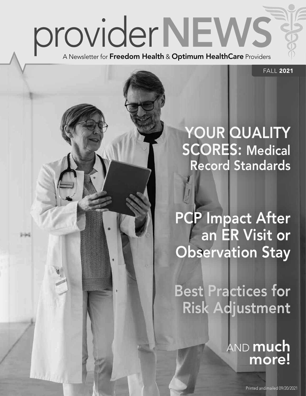

 $3 - 3 - 3$ 

FALL 2021

## YOUR QUALITY SCORES: Medical Record Standards

PCP Impact After an ER Visit or Observation Stay

Best Practices for Risk Adjustment

> **AND much** more!

> > Printed and mailed 09/20/2021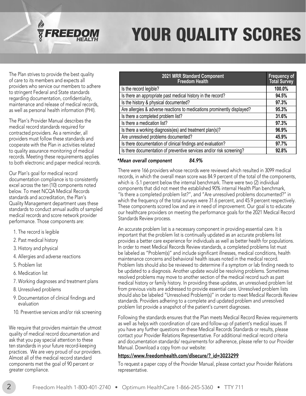

# YOUR QUALITY SCORES

The Plan strives to provide the best quality of care to its members and expects all providers who service our members to adhere to stringent Federal and State standards regarding documentation, confidentiality, maintenance and release of medical records, as well as personal health information (PHI).

The Plan's Provider Manual describes the medical record standards required for contracted providers. As a reminder, all providers must follow these standards and cooperate with the Plan in activities related to quality assurance monitoring of medical records. Meeting these requirements applies to both electronic and paper medical records.

Our Plan's goal for medical record documentation compliance is to consistently excel across the ten (10) components noted below. To meet NCQA Medical Records standards and accreditation, the Plan's Quality Management department uses these standards to conduct annual audits of sampled medical records and score network provider performance. Those components are:

- 1. The record is legible
- 2. Past medical history
- 3. History and physical
- 4. Allergies and adverse reactions
- 5. Problem list
- 6. Medication list
- 7. Working diagnoses and treatment plans
- 8. Unresolved problems
- 9. Documentation of clinical findings and evaluation
- 10. Preventive services and/or risk screening

We require that providers maintain the utmost quality of medical record documentation and ask that you pay special attention to these ten standards in your future record-keeping practices. We are very proud of our providers. Almost all of the medical record standard components met the goal of 90 percent or greater compliance.

| 2021 MRR Standard Component<br><b>Freedom Health</b>                    | Frequency of<br><b>Total Survey</b> |
|-------------------------------------------------------------------------|-------------------------------------|
| Is the record legible?                                                  | 100.0%                              |
| Is there an appropriate past medical history in the record?             | 94.5%                               |
| Is the history & physical documented?                                   | 97.3%                               |
| Are allergies & adverse reactions to medications prominently displayed? | 95.3%                               |
| Is there a completed problem list?                                      | 31.6%                               |
| Is there a medication list?                                             | 97.3%                               |
| Is there a working diagnosis(es) and treatment plan(s)?                 | 96.9%                               |
| Are unresolved problems documented?                                     | 45.9%                               |
| Is there documentation of clinical findings and evaluation?             | 97.7%                               |
| Is there documentation of preventive services and/or risk screening?    | 92.8%                               |

#### *\*Mean overall component 84.9%*

There were 166 providers whose records were reviewed which resulted in 3099 medical records, in which the overall mean score was 84.9 percent of the total of the components, which is -5.1 percent below the internal benchmark. There were two (2) individual components that did not meet the established 90% internal Health Plan benchmark, "Is there a completed problem list?", and "Are unresolved problems documented?" in which the frequency of the total surveys were 31.6 percent, and 45.9 percent respectively. These components scored low and are in need of improvement. Our goal is to educate our healthcare providers on meeting the performance goals for the 2021 Medical Record Standards Review process.

An accurate problem list is a necessary component in providing essential care. It is important that the problem list is continually updated as an accurate problems list provides a better care experience for individuals as well as better health for populations. In order to meet Medical Records Review standards, a completed problems list must be labeled as "Problem(s)" and include significant illnesses, medical conditions, health maintenance concerns and behavioral health issues noted in the medical record. Problem lists should also be reviewed to determine if a symptom or lab finding needs to be updated to a diagnosis. Another update would be resolving problems. Sometimes resolved problems may move to another section of the medical record such as past medical history or family history. In providing these updates, an unresolved problem list from previous visits are addressed to provide essential care. Unresolved problem lists should also be labeled "Unresolved Problem(s)" in order to meet Medical Records Review standards. Providers adhering to a complete and updated problem and unresolved problem list provide a snapshot of the patient's current diagnoses.

Following the standards ensures that the Plan meets Medical Record Review requirements as well as helps with coordination of care and follow-up of patient's medical issues. If you have any further questions on these Medical Records Standards or results, please contact your Provider Relations Representative. For additional medical record criteria and documentation standards/ requirements for adherence, please refer to our Provider Manual. Download a copy from our website:

#### [https://www.freedomhealth.com/dlsecure/?\\_id=3023299](https://www.freedomhealth.com/dlsecure/?_id=3023299)

To request a paper copy of the Provider Manual, please contact your Provider Relations representative.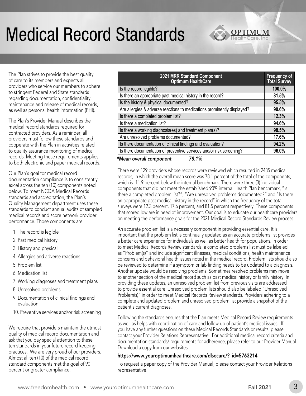# Medical Record Standards

The Plan strives to provide the best quality of care to its members and expects all providers who service our members to adhere to stringent Federal and State standards regarding documentation, confidentiality, maintenance and release of medical records, as well as personal health information (PHI).

The Plan's Provider Manual describes the medical record standards required for contracted providers. As a reminder, all providers must follow these standards and cooperate with the Plan in activities related to quality assurance monitoring of medical records. Meeting these requirements applies to both electronic and paper medical records.

Our Plan's goal for medical record documentation compliance is to consistently excel across the ten (10) components noted below. To meet NCQA Medical Records standards and accreditation, the Plan's Quality Management department uses these standards to conduct annual audits of sampled medical records and score network provider performance. Those components are:

- 1. The record is legible
- 2. Past medical history
- 3. History and physical
- 4. Allergies and adverse reactions
- 5. Problem list
- 6. Medication list
- 7. Working diagnoses and treatment plans
- 8. Unresolved problems
- 9. Documentation of clinical findings and evaluation
- 10. Preventive services and/or risk screening

We require that providers maintain the utmost quality of medical record documentation and ask that you pay special attention to these ten standards in your future record-keeping practices. We are very proud of our providers. Almost all ten (10) of the medical record standard components met the goal of 90 percent or greater compliance.

| 2021 MRR Standard Component<br><b>Optimum HealthCare</b>                | Frequency of<br><b>Total Survey</b> |
|-------------------------------------------------------------------------|-------------------------------------|
| Is the record legible?                                                  | 100.0%                              |
| Is there an appropriate past medical history in the record?             | 81.5%                               |
| Is the history & physical documented?                                   | 95.5%                               |
| Are allergies & adverse reactions to medications prominently displayed? | 90.6%                               |
| Is there a completed problem list?                                      | 12.3%                               |
| Is there a medication list?                                             | 94.6%                               |
| Is there a working diagnosis(es) and treatment plan(s)?                 | 98.5%                               |
| Are unresolved problems documented?                                     | 17.6%                               |
| Is there documentation of clinical findings and evaluation?             | 94.2%                               |
| Is there documentation of preventive services and/or risk screening?    | 96.0%                               |
| 70. LOZ                                                                 |                                     |

*\*Mean overall component 78.1%* 

There were 129 providers whose records were reviewed which resulted in 2435 medical records, in which the overall mean score was 78.1 percent of the total of the components, which is -11.9 percent below the internal benchmark. There were three (3) individual components that did not meet the established 90% internal Health Plan benchmark, "Is there a completed problem list?", "Are unresolved problems documented?" and "Is there an appropriate past medical history in the record" in which the frequency of the total surveys were 12.3 percent, 17.6 percent, and 81.5 percent respectively. These components that scored low are in need of improvement. Our goal is to educate our healthcare providers on meeting the performance goals for the 2021 Medical Record Standards Review process.

An accurate problem list is a necessary component in providing essential care. It is important that the problem list is continually updated as an accurate problems list provides a better care experience for individuals as well as better health for populations. In order to meet Medical Records Review standards, a completed problems list must be labeled as "Problem(s)" and include significant illnesses, medical conditions, health maintenance concerns and behavioral health issues noted in the medical record. Problem lists should also be reviewed to determine if a symptom or lab finding needs to be updated to a diagnosis. Another update would be resolving problems. Sometimes resolved problems may move to another section of the medical record such as past medical history or family history. In providing these updates, an unresolved problem list from previous visits are addressed to provide essential care. Unresolved problem lists should also be labeled "Unresolved Problem(s)" in order to meet Medical Records Review standards. Providers adhering to a complete and updated problem and unresolved problem list provide a snapshot of the patient's current diagnoses.

Following the standards ensures that the Plan meets Medical Record Review requirements as well as helps with coordination of care and follow-up of patient's medical issues. If you have any further questions on these Medical Records Standards or results, please contact your Provider Relations Representative. For additional medical record criteria and documentation standards/ requirements for adherence, please refer to our Provider Manual. Download a copy from our websites:

#### [https://www.youroptimumhealthcare.com/dlsecure/?\\_id=5763214](https://www.youroptimumhealthcare.com/dlsecure/?_id=5763214)

To request a paper copy of the Provider Manual, please contact your Provider Relations representative.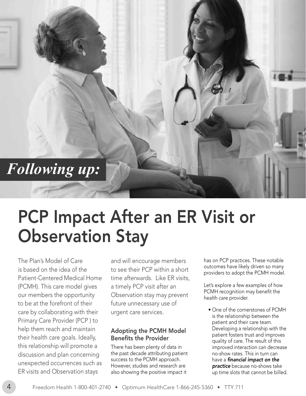## *Following up:*

# Observation Stay PCP Impact After an ER Visit or

The Plan's Model of Care is based on the idea of the Patient-Centered Medical Home (PCMH). This care model gives our members the opportunity to be at the forefront of their care by collaborating with their Primary Care Provider (PCP ) to help them reach and maintain their health care goals. Ideally, this relationship will promote a discussion and plan concerning unexpected occurrences such as ER visits and Observation stays

and will encourage members to see their PCP within a short time afterwards. Like ER visits, a timely PCP visit after an Observation stay may prevent future unnecessary use of urgent care services.

#### Adopting the PCMH Model Benefits the Provider

There has been plenty of data in the past decade attributing patient success to the PCMH approach. However, studies and research are also showing the positive impact it

has on PCP practices. These notable outcomes have likely driven so many providers to adopt the PCMH model.

Let's explore a few examples of how PCMH recognition may benefit the health care provider.

• One of the cornerstones of PCMH is the relationship between the patient and their care team. Developing a relationship with the patient fosters trust and improves quality of care. The result of this improved interaction can decrease no-show rates. This in turn can have a *financial impact on the* **practice** because no-shows take up time slots that cannot be billed.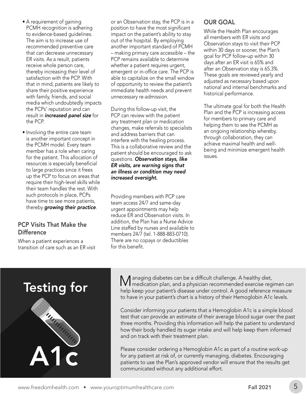that in mind, patients are likely to share their positive experience with family, friends, and social media which undoubtedly impacts the PCPs' reputation and can result in **increased panel size** for the PCP. • Involving the entire care team is another important concept in the PCMH model. Every team member has a role when caring for the patient. This allocation of resources is especially beneficial to large practices since it frees up the PCP to focus on areas that require their high-level skills while their team handles the rest. With such protocols in place, PCPs

• A requirement of gaining PCMH recognition is adhering to evidence-based guidelines. The aim is to increase use of recommended preventive care that can decrease unnecessary ER visits. As a result, patients receive whole person care, thereby increasing their level of satisfaction with the PCP. With

have time to see more patients, thereby growing their practice. PCP Visits That Make the

**Difference** 

When a patient experiences a transition of care such as an ER visit or an Observation stay, the PCP is in a position to have the most significant impact on the patient's ability to stay out of the hospital. By employing another important standard of PCMH – making primary care accessible – the PCP remains available to determine whether a patient requires urgent, emergent or in-office care. The PCP is able to capitalize on the small window of opportunity to review the patient's immediate health needs and prevent unnecessary re-admission.

During this follow-up visit, the PCP can review with the patient any treatment plan or medication changes, make referrals to specialists and address barriers that can interfere with the healing process. This is a collaborative review and the patient should be encouraged to ask questions. Observation stays, like ER visits, are warning signs that an illness or condition may need increased oversight.

Providing members with PCP care team access 24/7 and same-day urgent appointments may help reduce ER and Observation visits. In addition, the Plan has a Nurse Advice Line staffed by nurses and available to members 24/7 (tel. 1-888-883-0710). There are no copays or deductibles for this benefit.

#### OUR GOAL

While the Health Plan encourages all members with ER visits and Observation stays to visit their PCP within 30 days or sooner, the Plan's goal for PCP follow-up within 30 days after an ER visit is 65% and after an Observation stay is 65.3%. These goals are reviewed yearly and adjusted as necessary based upon national and internal benchmarks and historical performance.

The ultimate goal for both the Health Plan and the PCP is increasing access for members to primary care and helping them to see the PCMH as an ongoing relationship whereby, through collaboration, they can achieve maximal health and wellbeing and minimize emergent health issues.



Managing diabetes can be a difficult challenge. A healthy diet, medication plan, and a physician recommended exercise regimen can help keep your patient's disease under control. A good reference measure to have in your patient's chart is a history of their Hemoglobin A1c levels.

Consider informing your patients that a Hemoglobin A1c is a simple blood test that can provide an estimate of their average blood sugar over the past three months. Providing this information will help the patient to understand how their body handled its sugar intake and will help keep them informed and on track with their treatment plan.

Please consider ordering a Hemoglobin A1c as part of a routine work-up for any patient at risk of, or currently managing, diabetes. Encouraging patients to use the Plan's approved vendor will ensure that the results get communicated without any additional effort.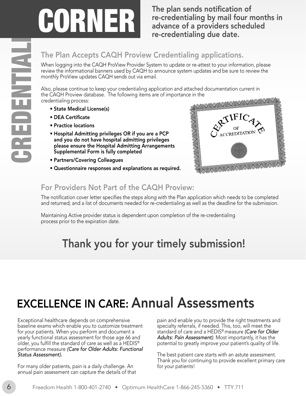re-credentialing by mail four months in advance of a providers scheduled re-credentialing due date.

#### The Plan Accepts CAQH Proview Credentialing applications.

When logging into the CAQH ProView Provider System to update or re-attest to your information, please review the informational banners used by CAQH to announce system updates and be sure to review the monthly ProView updates CAQH sends out via email.

Also, please continue to keep your credentialing application and attached documentation current in the CAQH Proview database. The following items are of importance in the credentialing process:

- State Medical License(s)
- DEA Certificate
- Practice locations
- Hospital Admitting privileges OR if you are a PCP and you do not have hospital admitting privileges please ensure the Hospital Admitting Arrangements Supplemental Form is fully completed
- 
- Partners/Covering Colleagues Questionnaire responses and explanations as required.



#### For Providers Not Part of the CAQH Proview:

The notification cover letter specifies the steps along with the Plan application which needs to be completed and returned; and a list of documents needed for re-credentialing as well as the deadline for the submission.

Maintaining Active provider status is dependent upon completion of the re-credentialing process prior to the expiration date.

### Thank you for your timely submission!

### EXCELLENCE IN CARE: Annual Assessments

Exceptional healthcare depends on comprehensive pain and enable you to provide the right treatments and baseline exams which enable you to customize treatment specialty referrals, if needed. This, too, will meet the for your patients. When you perform and document a standard of care and a HEDIS® measure *(Care for Older*  yearly functional status assessment for those age 66 and **Adults: Pain Assessment**). Most importantly, it has the<br>older, you fulfill the standard of care as well as a HEDIS® potential to greatly improve your patient's qual older, you fulfill the standard of care as well as a HEDIS® performance measure *(Care for Older Adults: Functional Status Assessment).* The best patient care starts with an astute assessment.

For many older patients, pain is a daily challenge. An for your patients! annual pain assessment can capture the details of that

Thank you for continuing to provide excellent primary care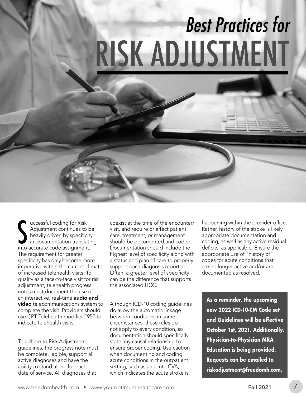# Best Practices for RISK ADJUSTMENT

starting for Risk<br>Adjustment continues to b<br>heavily driven by specificity<br>in documentation translatin<br>into accurate code assignment. uccessful coding for Risk Adjustment continues to be heavily driven by specificity in documentation translating The requirement for greater specificity has only become more imperative within the current climate of increased telehealth visits. To qualify as a face-to-face visit for risk adjustment, telehealth progress notes must document the use of an interactive, real-time **audio and** video telecommunications system to complete the visit. Providers should use CPT Telehealth modifier "95" to indicate telehealth visits.

To adhere to Risk Adjustment guidelines, the progress note must be complete, legible, support all active diagnoses and have the ability to stand alone for each date of service. All diagnoses that

coexist at the time of the encounter/ visit, and require or affect patient care, treatment, or management should be documented and coded. Documentation should include the highest level of specificity along with a status and plan of care to properly support each diagnosis reported. Often, a greater level of specificity can be the difference that supports the associated HCC.

Although ICD-10 coding guidelines do allow the automatic linkage between conditions in some circumstances, these rules do not apply to every condition, so documentation should specifically state any causal relationship to ensure proper coding. Use caution when documenting and coding acute conditions in the outpatient setting, such as an acute CVA, which indicates the acute stroke is

happening within the provider office. Rather, history of the stroke is likely appropriate documentation and coding, as well as any active residual deficits, as applicable. Ensure the appropriate use of "history of" codes for acute conditions that are no longer active and/or are documented as resolved.

**As a reminder, the upcoming new 2022 ICD-10-CM Code set and Guidelines will be effective October 1st, 2021. Additionally, Physician-to-Physician MRA Education is being provided. Requests can be emailed to [riskadjustment@freedomh.com.](mailto:riskadjustment@freedomh.com)**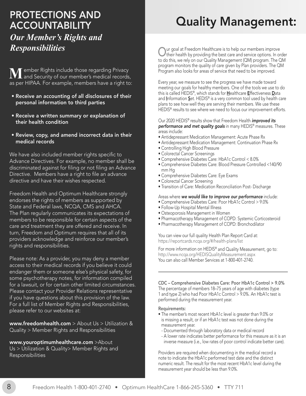# PROTECTIONS AND ACCOUNTABILITY

#### *Our Member's Rights and Responsibilities*

**M**ember Rights include those regarding Privacy<br>and Security of our member's medical records, as per HIPAA. For example, members have a right to:

- Receive an accounting of all disclosures of their personal information to third parties
- Receive a written summary or explanation of their health condition
- Review, copy, and amend incorrect data in their medical records

We have also included member rights specific to Advance Directives. For example, no member shall be discriminated against for filing or not filing an Advance Directive. Members have a right to file an advance directive and have their wishes respected.

Freedom Health and Optimum Healthcare strongly endorses the rights of members as supported by State and Federal laws, NCQA, CMS and AHCA. The Plan regularly communicates its expectations of members to be responsible for certain aspects of the care and treatment they are offered and receive. In turn, Freedom and Optimum requires that all of its providers acknowledge and reinforce our member's rights and responsibilities.

Please note: As a provider, you may deny a member access to their medical records if you believe it could endanger them or someone else's physical safety, for some psychotherapy notes, for information compiled for a lawsuit, or for certain other limited circumstances. Please contact your Provider Relations representative if you have questions about this provision of the law. For a full list of Member Rights and Responsibilities, please refer to our websites at:

[www.freedomhealth.com](https://www.freedomhealth.com) > About Us > Utilization & Quality > Member Rights and Responsibilities

[www.youroptimumhealthcare.com](https://www.youroptimumhealthcare.com) >About Us > Utilization & Quality> Member Rights and Quality Management:

Our goal at Freedom Healthcare is to help our members improve<br>their health by providing the best care and service options. In order to do this, we rely on our Quality Management (QM) program. The QM program monitors the quality of care given by Plan providers. The QM Program also looks for areas of service that need to be improved.

Every year, we measure to see the progress we have made toward meeting our goals for healthy members. One of the tools we use to do this is called HEDIS®, which stands for Healthcare Effectiveness Data and Information Set. HEDIS® is a very common tool used by health care plans to see how well they are serving their members. We use these HEDIS<sup>®</sup> results to see where we need to focus our improvement efforts.

Our 2020 HEDIS® results show that Freedom Health *improved its* performance and met quality goals in many HEDIS® measures. These areas include:

- Antidepressant Medication Management: Acute Phase Rx
- Antidepressant Medication Management: Continuation Phase Rx
- Controlling High Blood Pressure
- Colorectal Cancer Screenings
- Comprehensive Diabetes Care: HbA1c Control < 8.0%
- Comprehensive Diabetes Care: Blood Pressure Controlled <140/90 mm Hg
- Comprehensive Diabetes Care: Eye Exams
- Colorectal Cancer Screening
- Transition of Care: Medication Reconciliation Post- Discharge

Areas where we would like to improve our performance include:

- Comprehensive Diabetes Care: Poor HbA1c Control > 9.0%
- Follow-Up Hospital Mental Illness
- Osteoporosis Management in Women
- Pharmacotherapy Management of COPD: Systemic Corticosteroid
- Pharmacotherapy Management of COPD: Bronchodilator

You can view our full quality Health Plan Report Card at: <https://reportcards.ncqa.org/#/health-plans/list>

For more information on HEDIS<sup>®</sup> and Quality Measurement, go to: [http://www.ncqa.org/HEDISQualityMeasurement.aspx](https://www.ncqa.org/HEDISQualityMeasurement.aspx) You can also call Member Services at 1-800-401-2740.

CDC – Comprehensive Diabetes Care: Poor HbA1c Control > 9.0% The percentage of members 18–75 years of age with diabetes (type 1 and type 2) who had Poor HbA1c Control > 9.0%. An HbA1c test is performed during the measurement year.

#### Requirements:

- The member's most recent HbA1c level is greater than 9.0% or is missing a result, or if an HbA1c test was not done during the measurement year.
	- Documented through laboratory data or medical record
	- A lower rate indicates better performance for this measure as it is an inverse measure (i.e., low rates of poor control indicate better care).

Providers are required when documenting in the medical record a note to indicate the HbA1c performed test date and the distinct numeric result. The result for the most recent HbA1c level during the measurement year should be less than 9.0%.

Responsibilities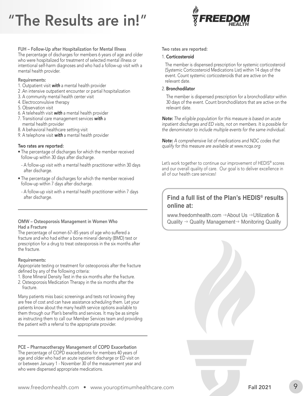# "The Results are in!"



FUH – Follow-Up after Hospitalization for Mental Illness The percentage of discharges for members 6 years of age and older who were hospitalized for treatment of selected mental illness or intentional self-harm diagnoses and who had a follow-up visit with a mental health provider.

#### Requirements:

- 1. Outpatient visit with a mental health provider
- 2 .An intensive outpatient encounter or partial hospitalization
- 3. A community mental health center visit
- 4. Electroconvulsive therapy
- 5. Observation visit
- 6. A telehealth visit with a mental health provider
- 7. Transitional care management services with a mental health provider
- 8. A behavioral healthcare setting visit
- 9. A telephone visit with a mental health provider

#### Two rates are reported:

- The percentage of discharges for which the member received follow-up within 30 days after discharge.
- A follow-up visit with a mental health practitioner within 30 days after discharge.
- The percentage of discharges for which the member received follow-up within 7 days after discharge.
- A follow-up visit with a mental health practitioner within 7 days after discharge.

#### OMW – Osteoporosis Management in Women Who Had a Fracture

The percentage of women 67–85 years of age who suffered a fracture and who had either a bone mineral density (BMD) test or prescription for a drug to treat osteoporosis in the six months after the fracture.

#### Requirements:

Appropriate testing or treatment for osteoporosis after the fracture defined by any of the following criteria:

- 1. Bone Mineral Density Test in the six months after the fracture.
- 2. Osteoporosis Medication Therapy in the six months after the fracture.

Many patients miss basic screenings and tests not knowing they are free of cost and can have assistance scheduling them. Let your patients know about the many health service options available to them through our Plan's benefits and services. It may be as simple as instructing them to call our Member Services team and providing the patient with a referral to the appropriate provider.

PCE – Pharmacotherapy Management of COPD Exacerbation The percentage of COPD exacerbations for members 40 years of age and older who had an acute inpatient discharge or ED visit on or between January 1 - November 30 of the measurement year and who were dispensed appropriate medications.

#### Two rates are reported:

#### 1. Corticosteroid

The member is dispensed prescription for systemic corticosteroid (Systemic Corticosteroid Medications List) within 14 days of the event. Count systemic corticosteroids that are active on the relevant date.

#### 2. Bronchodilator

The member is dispensed prescription for a bronchodilator within 30 days of the event. Count bronchodilators that are active on the relevant date.

*Note: The eligible population for this measure is based on acute inpatient discharges and ED visits, not on members. It is possible for the denominator to include multiple events for the same individual.* 

*Note: A comprehensive list of medications and NDC codes that qualify for this measure are available at [www.ncqa.org](https://www.ncqa.org)* 

Let's work together to continue our improvement of HEDIS® scores and our overall quality of care. Our goal is to deliver excellence in all of our health care services!

#### **Find a full list of the Plan's HEDIS® results online at:**

[www.freedomhealth.com](https://www.freedomhealth.com)  $\rightarrow$  About Us  $\rightarrow$  Utilization & Quality  $\rightarrow$  Quality Management $\rightarrow$  Monitoring Quality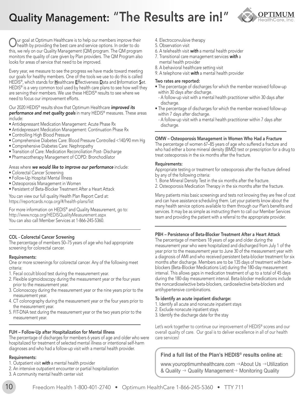### Quality Management: "The Results are in!"



Our goal at Optimum Healthcare is to help our members improve their<br>health by providing the best care and service options. In order to do this, we rely on our Quality Management (QM) program. The QM program monitors the quality of care given by Plan providers. The QM Program also looks for areas of service that need to be improved.

Every year, we measure to see the progress we have made toward meeting our goals for healthy members. One of the tools we use to do this is called HEDIS®, which stands for Healthcare Effectiveness Data and Information Set. HEDIS® is a very common tool used by health care plans to see how well they are serving their members. We use these HEDIS® results to see where we need to focus our improvement efforts.

Our 2020 HEDIS<sup>®</sup> results show that Optimum Healthcare *improved its* performance and met quality goals in many HEDIS<sup>®</sup> measures. These areas include:

- Antidepressant Medication Management: Acute Phase Rx
- Antidepressant Medication Management: Continuation Phase Rx
- Controlling High Blood Pressure
- Comprehensive Diabetes Care: Blood Pressure Controlled <140/90 mm Hg
- Comprehensive Diabetes Care: Nephropathy
- Transition of Care: Medication Reconciliation Post- Discharge
- Pharmacotherapy Management of COPD: Bronchodilator

#### Areas where we would like to improve our performance include:

- Colorectal Cancer Screening
- Follow-Up Hospital Mental Illness
- Osteoporosis Management in Women
- Persistent of Beta-Blocker Treatment After a Heart Attack

You can view our full quality Health Plan Report Card at: <https://reportcards.ncqa.org/#/health-plans/list>

For more information on HEDIS® and Quality Measurement, go to: [http://www.ncqa.org/HEDISQualityMeasurement.aspx](https://www.ncqa.org/HEDISQualityMeasurement.aspx) You can also call Member Services at 1-866-245-5360.

#### COL - Colorectal Cancer Screening

The percentage of members 50–75 years of age who had appropriate screening for colorectal cancer.

#### Requirements:

One or more screenings for colorectal cancer. Any of the following meet criteria:

- 1. Fecal occult blood test during the measurement year.
- 2. Flexible sigmoidoscopy during the measurement year or the four years prior to the measurement year.
- 3. Colonoscopy during the measurement year or the nine years prior to the measurement year.
- 4. CT colonography during the measurement year or the four years prior to the measurement year.
- 5. FIT-DNA test during the measurement year or the two years prior to the measurement year.

#### FUH – Follow-Up after Hospitalization for Mental Illness

The percentage of discharges for members 6 years of age and older who were hospitalized for treatment of selected mental illness or intentional self-harm diagnoses and who had a follow-up visit with a mental health provider.

#### Requirements:

- 1. Outpatient visit with a mental health provider
- 2. An intensive outpatient encounter or partial hospitalization
- 3. A community mental health center visit
- 4. Electroconvulsive therapy
- 5. Observation visit
- 6. A telehealth visit with a mental health provider
- 7. Transitional care management services with a mental health provider
- 8. A behavioral healthcare setting visit
- 9. A telephone visit with a mental health provider

#### Two rates are reported:

- The percentage of discharges for which the member received follow-up within 30 days after discharge.
- A follow-up visit with a mental health practitioner within 30 days after discharge.
- The percentage of discharges for which the member received follow-up within 7 days after discharge.
	- A follow-up visit with a mental health practitioner within 7 days after discharge.

#### OMW – Osteoporosis Management in Women Who Had a Fracture

The percentage of women 67–85 years of age who suffered a fracture and who had either a bone mineral density (BMD) test or prescription for a drug to treat osteoporosis in the six months after the fracture.

#### Requirements:

Appropriate testing or treatment for osteoporosis after the fracture defined by any of the following criteria:

- 1. Bone Mineral Density Test in the six months after the fracture.
- 2. Osteoporosis Medication Therapy in the six months after the fracture.

Many patients miss basic screenings and tests not knowing they are free of cost and can have assistance scheduling them. Let your patients know about the many health service options available to them through our Plan's benefits and services. It may be as simple as instructing them to call our Member Services team and providing the patient with a referral to the appropriate provider.

#### PBH – Persistence of Beta-Blocker Treatment After a Heart Attack

The percentage of members 18 years of age and older during the measurement year who were hospitalized and discharged from July 1 of the year prior to the measurement year to June 30 of the measurement year with a diagnosis of AMI and who received persistent beta-blocker treatment for six months after discharge. Members are to be 135 days of treatment with betablockers (Beta-Blocker Medications List) during the 180-day measurement interval. This allows gaps in medication treatment of up to a total of 45 days during the 180-day measurement interval. Beta-blocker medications include the noncardioselective beta-blockers, cardioselective beta-blockers and antihypertensive combinations.

#### To identify an acute inpatient discharge:

- 1. Identify all acute and nonacute inpatient stays
- 2. Exclude nonacute inpatient stays
- 3. Identify the discharge date for the stay

Let's work together to continue our improvement of HEDIS® scores and our overall quality of care. Our goal is to deliver excellence in all of our health care services!

#### **Find a full list of the Plan's HEDIS® results online at:**

[www.youroptimumhealthcare.com](https://www.youroptimumhealthcare.com)  $\rightarrow$  About Us  $\rightarrow$  Utilization & Quality  $\rightarrow$  Quality Management $\rightarrow$  Monitoring Quality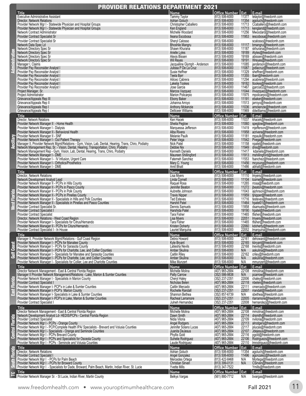| <b>PROVIDER RELATIONS DEPARTMENT 2021</b> |                                                                                                                                                                                                                                                                                                                                                                                                                                                                                                                                                                                                                                                                                                                                                                                                                                                                                                         |                                                                                                                                                                                                                                                                                                                                                                                                                                                                                                             |                                                                                                                                                                                                                                                                                                                                                                                                                                                                                                                                                   |                                                                                                                                                                                                                                                                                                                                                                                                                                                                                                                                                                                                                                                                                                                                                                                                                      |  |  |
|-------------------------------------------|---------------------------------------------------------------------------------------------------------------------------------------------------------------------------------------------------------------------------------------------------------------------------------------------------------------------------------------------------------------------------------------------------------------------------------------------------------------------------------------------------------------------------------------------------------------------------------------------------------------------------------------------------------------------------------------------------------------------------------------------------------------------------------------------------------------------------------------------------------------------------------------------------------|-------------------------------------------------------------------------------------------------------------------------------------------------------------------------------------------------------------------------------------------------------------------------------------------------------------------------------------------------------------------------------------------------------------------------------------------------------------------------------------------------------------|---------------------------------------------------------------------------------------------------------------------------------------------------------------------------------------------------------------------------------------------------------------------------------------------------------------------------------------------------------------------------------------------------------------------------------------------------------------------------------------------------------------------------------------------------|----------------------------------------------------------------------------------------------------------------------------------------------------------------------------------------------------------------------------------------------------------------------------------------------------------------------------------------------------------------------------------------------------------------------------------------------------------------------------------------------------------------------------------------------------------------------------------------------------------------------------------------------------------------------------------------------------------------------------------------------------------------------------------------------------------------------|--|--|
| <b>GILLID</b><br>도                        | Title<br><b>Executive Administrative Assistant</b><br>Director, Network Relations<br>Provider Network Mgr I - Statewide Physician and Hospital Groups<br>Provider Network Mgr I - Statewide Physician and Hospital Groups<br>Network Contract Administrator<br><b>Provider Contract Specialist Sr</b><br>Provider Contract Specialist Sr<br>Network Data Spec Ld<br>Network Directory Spec Sr<br>Network Directory Spec Sr<br>Network Directory Spec Sr<br>Network Directory Spec Sr<br>Manager I, Claims<br>Provider Pay Reconsider Analyst I<br>Provider Pay Reconsider Analyst I<br>Provider Pay Reconsider Analyst I<br>Provider Pay Reconsider Analyst I<br>Provider Pay Reconsider Analyst I<br>Provider Pay Reconsider Analyst I<br>Project Manager, Sr.<br>Project Administrator<br>Grievance/Appeals Rep III<br>Grievance/Appeals Rep II<br>Grievance/Appeals Rep I<br>Grievance/Appeals Rep I | Name<br><b>Tammy Taylor</b><br>Adrian Goluch<br>Christopher Caballero<br>Ken England<br>Michelle Woodard<br>Ileana Escobosa<br>Sheryl Calosso<br><b>Bhoshile Mangru</b><br>Shawn Khurana<br>Arielle Lyles<br>Alexis Bissen<br><b>Wil Reyes</b><br>Jacqueline Glymph - Anderson<br>Julissa P De La Cruz<br>Susie Heffner<br>Teela Barr<br>Ailicec Cabrera<br>Lakelia Tookes<br>Jose Garcia<br>Marcos Vazquez<br>Marion Policarpio<br>Ebony Baker<br>Johanna Arroyo<br>Anthony Mckenzie<br>Delticeer Williams | Office Number   Ext<br>$(813) 506 - 6000$<br>$(813) 506 - 6000$<br>(813) 506-6000<br>(813) 506-6000<br>$(813) 506 - 6000$<br>$(813) 506 - 6000$<br>(813) 506-6000<br>$(813) 506 - 6000$<br>$(813) 506 - 6000$<br>(813) 506-6000<br>(813) 506-6000<br>$(813) 506 - 6000$<br>(813) 506-6000<br>$(813) 506 - 6000$<br>$(813) 506 - 6000$<br>$(813) 506 - 6000$<br>(813) 506-6000<br>(813) 506-6000<br>(813) 506-6000<br>(813) 506-6000<br>$(813) 506 - 6000$<br>$(813) 506 - 6000$<br>$(813) 506 - 6000$<br>$(813) 506 - 6000$<br>$(813) 506 - 6000$ | E-mail<br>11377 tetaylor@freedomh.com<br>11354 agoluch@freedomh.com<br>11713 Ccaballero@freedomh.com<br>11713 kengland@freedomh.com<br>11256 Mwoodard@freedomh.com<br>11953 iescobosa@freedomh.com<br>scalosso@freedomh.com<br>11117 bmangru@freedomh.com<br>skhurana@freedomh.com<br>11187<br>19189 Alyles@freedomh.com<br>19169 abissen@freedomh.com<br>19191 Wreyes@freedomh.com<br>11085 janderson@freedomh.com<br>11087 jpdlacruz@freedomh.com<br>11329 sheffner@freedomh.com<br>11355 tbarr@freedomh.com<br>11294 acabrera@freedomh.com<br>19182 Itookes@freedomh.com<br>jgarcia02@freedomh.com<br>11467<br>11044 mvazquez@freedomh.com<br>mpolicarpio@freedomh.com<br>11975<br>11191 ebaker@freedomh.com<br>11513<br>jarroyo@freedomh.com<br>11036 amckenzie@freedomh.com<br>11969<br>ddwilliams@freedomh.com |  |  |
| Ancillary                                 | <b>Title</b><br>Director, Network Relations<br>Provider Network Manager II - Home Health<br>Provider Network Manager I - Dialysis<br>Provider Network Manager II - Behavioral Health<br>Provider Network Manager II - SNF<br>Provider Network Manager I - Out Patient Therapy<br>Manager II, Provider Network Manager I - Out Patient Therapy<br>Manager II, Provider Network Mgmt/Relations - Gym, Vision, Lab, Dental, Hearing, Trans, Chiro, Podiatry<br>Network<br>Provider Network Manager I - IV Infusion, Urgent Care<br>Provider Network Manager I - Orthotics/Prosthetics<br>Provider Network Manager I - DME                                                                                                                                                                                                                                                                                  | Name<br>Ken Hacek<br>Sheila Peglow<br>Marquessa Jefferson<br>Alba Rivera<br>Melanie Paulk<br>Peter Vega<br>Nick Patel<br>Debbie Nix<br>Kenneth Daniels<br>Maureen Shillingford<br>Fatemeh Sanchez<br>Mary C. Young<br>Amit Bhatt                                                                                                                                                                                                                                                                            | Office Number<br>(813) 506-6000<br>(813) 506-6000<br>(813) 506-6000<br>$(813) 506 - 6000$<br>$(813) 506 - 6000$<br>(813) 506-6000<br>(813) 506-6000<br>$(813) 506 - 6000$<br>$(813) 506 - 6000$<br>$(813) 506 - 6000$<br>$(813) 506 - 6000$<br>$(813) 506 - 6000$<br>(813) 506-6000                                                                                                                                                                                                                                                               | E-mail<br>Ext<br>11037 khacek@freedomh.com<br>11060 speglow@freedomh.com<br>11419 mjefferson@freedomh.com<br>11958 acrivera@freedomh.com<br>11181<br>mpaulk@freedomh.com<br>11542 Pvega@freedomh.com<br>11949 dnix@freedomh.com<br>11417 kdaniels@freedomh.com<br>11913 mshillingford@freedomh.com<br>11553 fsanchez@freedomh.com<br>11456 mcyoung@freedomh.com<br>11486<br>abhatt@freedomh.com                                                                                                                                                                                                                                                                                                                                                                                                                      |  |  |
| Florida<br>ā                              | Title<br>Director, Network Relations<br>Network Development Analyst Lead<br>Provider Network Manager II - PCPs in Hills County<br>Provider Network Manager II - PCPs in Pasco County<br>Provider Network Manager II - PCPs in Polk County<br>Provider Network Manager II - PCPs in Pinellas County<br>Provider Network Manager II - Specialists in Hills and Polk Counties<br>Provider Network Manager II - Specialists in Pinellas and Pasco Counties<br>Provider Contract Specialist Sr.<br>Provider Contract Specialist I<br>Provider Contract Specialist<br>Director, Network Relations - West Coast Region<br>Provider Network Manager I - Specialists for Citrus/Hernando<br>Provider Network Manager II - PCPs for Citurs/Hernando<br>Provider Contract Specialist I - In House                                                                                                                  | <b>Name</b><br>Lisa Myers<br>Linda Cornell<br>Raquel Rosa<br>Jennifer Beaton<br>Aubrette Johnson<br><b>Travis Nipper</b><br><b>Ted Esteves</b><br>Harshit Patel<br>Dennis Samuels<br>Harshida Patel<br>Tara Fisher<br>Lisa Myers<br>Tara Fisher<br><b>Kristen Doherty</b><br>Lauriet Marquina                                                                                                                                                                                                               | Office Number<br>$(813) 506 - 6000$<br>$(813) 506 - 6000$<br>(813) 506-6000<br>$(813) 506 - 6000$<br>(813) 506-6000<br>(813) 506-6000<br>(813) 506-6000<br>$(813) 506 - 6000$<br>(813) 506-6000<br>$(813) 506 - 6000$<br>(813) 506-6000<br>$(813) 506 - 6000$<br>(813) 506-6000<br>(813) 506-6000<br>(813) 506-6000                                                                                                                                                                                                                               | Ext<br>E-mail<br>11110<br>Imyers@freedomh.com<br>11104 Icornell@freedomh.com<br>11265 rrosa@freedomh.com<br>11272 jbeaton@freedomh.com<br>11043<br>ajohnson@freedomh.com<br>11959 tjnipper@freedomh.com<br>testeves@freedomh.com<br>11716<br>11464 hpatel01@freedomh.com<br>11858 dsamuels@freedomh.com<br>19190 hpatel@freedomh.com<br>tfisher@freedomh.com<br>11465<br>22051 Imyers@freedomh.com<br>11465 tfisher@freedomh.com<br>22060 kdoherty@freedomh.com<br>22052<br>Imarquina@freedomh.com                                                                                                                                                                                                                                                                                                                   |  |  |
| Coast<br>ă<br>Florida                     | Title<br>Manager II, Provider Network Mgmt/Relations - Gulf Coast Region<br>Provider Network Manager I - PCPs for Manatee County<br>Provider Network Manager I - PCPs for Sarasota County<br>Provider Network Manager I - PCPs for Charlotte, Lee, and Collier Counties<br>Provider Network Manager I - Specialists for Manatee and Sarasota Counties<br>Provider Network Manager I - PCPs for Charlotte, Lee, and Collier Counties<br>Provider Network Manager I - Specialists for Collier, Lee and Charlotte Counties<br>Title<br>Director Network Management - East & Central Florida Region<br>Manager II Provider Network Management/Relations - Lake, Marion & Sumter Counties<br>Provider Network Manager I - Specialists in Marion County<br>Provider Contract Specialist I<br>Provider Network Manager I- PCP's in Lake & Sumter Counties<br>Provider Network Manager I- PCP's Marion County   | Name<br>Debra Howard<br>Kyle Bryant<br>Latiesha Nevils<br>Amber Skulina<br>Caitlin Riley<br>Amber Skulina<br>Mike Munzert<br>Name<br>Michelle Molina<br><b>Patty Carrow</b><br>Cheryl Haley<br>Nicholas Belen<br>Caitlin Mercado                                                                                                                                                                                                                                                                            | Office Number<br>$(813) 506 - 6000$<br>$(813) 506 - 6000$<br>(813) 506-6000<br>$(813) 506 - 6000$<br>$(813) 506 - 6000$<br>$(813) 506 - 6000$<br>(813) 506-6000<br><b>Office Number</b><br>$(407)$ 965-2684<br>$(352) 586 - 9838$<br>(352) 237-2351<br>(407) 965-2684<br>(407) 965-2684<br>(352) 237-2351                                                                                                                                                                                                                                         | E-mail<br>Ext<br>22161 dehoward@freedomh.com<br>22165 kbryant@freedomh.com<br>22168<br>Inevils@freedomh.com<br>askulina@freedomh.com<br>N/A<br>22162<br>criley@freedomh.com<br>askulina@freedomh.com<br>N/A<br>mmunzert@freedomh.com<br>N/A<br>Ext<br>E-mail<br>22108<br>mmolina@freedomh.com<br>N/A<br>pcarrow@freedomh.com<br>22006<br>chaley@freedomh.com<br>22118 nbelen@freedomh.com<br>cmercado@freedomh.com<br>22111                                                                                                                                                                                                                                                                                                                                                                                          |  |  |
| East<br>Florida<br>Central                | Provider Network Manager I- Specialists in Lake & Sumter Counties<br>Provider Network Manager I- PCP's in Lake, Marion & Sumter Counties<br>Provider Contract Specialist<br>Title<br>Director Network Management - East & Central Florida Region<br>Network Development Analyst Ld-HEDIS/PCPs - Central Florida Region<br>Provider Contract Specialist<br>Provider Network Mgr I - PCPs - Orange County<br>Provider Network Mgr I - PCP/Complete Health IPA/ Specialists - Brevard and Volusia Counties<br>Provider Network Mgr I - Specialists - Orange and Seminole Counties<br>Provider Network Mgr I - PCPs Brevard County<br>Provider Network Mgr I - PCPs and Specialists for Osceola County                                                                                                                                                                                                      | Rochelle Randall<br>Shannon Bethea<br>Racheal Larramore<br>Julneh Hernandez<br>Name<br>Michelle Molina<br>Dawn Smith<br>Nidia Viloria<br>Angel Rodgers<br>Jennifer Solano Lucas<br>Juanita DeJesus<br><b>Phyllis Gold</b><br>Suhelie Rodriguez                                                                                                                                                                                                                                                              | 352) 857-6739<br>(352) 237-2351<br>(352) 237-2351<br>Office Number<br>(407) 965-2684<br>(407) 965-2684<br>(407) 965-2684<br>(407) 965-2684<br>(407) 965-2684<br>(407) 965-2684<br>(407) 965-2684<br>(407) 965-2684                                                                                                                                                                                                                                                                                                                                | 22007 rrandall@freedomh.com<br>sbethea@freedomh.com<br>N/A<br>22005<br>rlarramore@freedomh.com<br>22008<br>hernandezj@freedomh.com<br>Ext<br>E-mail<br>22108 mmolina@freedomh.com<br>22114 drsmith@freedomh.com<br>22109<br>nviloria@freedomh.com<br>22113 alrodgers@freedomh.com<br>22117<br>jslucas@freedomh.com<br>Jdejesus@freedomh.com<br>22107<br>pgold@freedomh.com<br>Rodriguezs@freedomh.com<br>Imrodriguez@freedomh.com<br>22116<br>22106                                                                                                                                                                                                                                                                                                                                                                  |  |  |
| z                                         | Provider Network Mgr I - PCPs - Seminole and Volusia Counties<br>es Title<br>E Directe<br>E Provid<br>Director, Network Relations<br><b>Provider Contract Specialst I</b><br>Provider Network Mgr I - PCPs for Palm Beach<br>Provider Network Mgr I - PCPs for Broward County<br>Provider Network Mgr I - Specialists for Dade, Broward, Palm Beach, Martin, Indian River, St. Lucie<br>Title                                                                                                                                                                                                                                                                                                                                                                                                                                                                                                           | Laude Rodriguez<br>Name<br>Adrian Goluch<br>Angel Gonzalez<br>Mercedes Ortega<br>Christian Sirven<br>Yvette Mills<br>Name<br>$D - H -$                                                                                                                                                                                                                                                                                                                                                                      | (407) 965-2684<br><b>Office Number</b><br>(813) 506-6000<br>$(813) 506 - 6000$<br>(813) 422-8468<br>(813) 399-0131<br>(813) 347-7522<br>Office Number Ext<br>$T(A)$ 000 7740                                                                                                                                                                                                                                                                                                                                                                      | 22110<br>Ext<br>E-mail<br>11354<br>agoluch@freedomh.com<br>11496<br>agonzalez@freedomh.com<br>Mortega@freedomh.com<br>N/A<br>CSirven@freedomh.com<br>N/A<br>Ymills@freedomh.com<br>E-mail<br><b>A1/A</b>                                                                                                                                                                                                                                                                                                                                                                                                                                                                                                                                                                                                             |  |  |

Provider Network Manager Sr. - St Lucie, Indian River, Martin County Belkys Vargas Belkys Vargas (561) 880-7712 N/A bvargas@freedomh.com